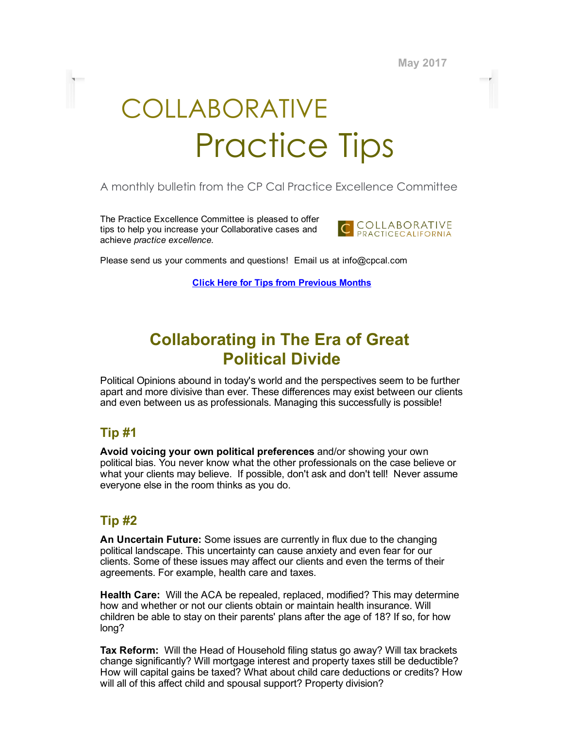May 2017

# COLLABORATIVE Practice Tips

#### A monthly bulletin from the CP Cal Practice Excellence Committee

The Practice Excellence Committee is pleased to offer tips to help you increase your Collaborative cases and achieve practice excellence.



Please send us your comments and questions! Email us at info@cpcal.com

Click Here for Tips from [Previous](https://www.dropbox.com/sh/nns7xqfkrgzi7sx/AACnvsWvEnTcndxaKdXGRv_Pa?dl=0) Months

# Collaborating in The Era of Great Political Divide

Political Opinions abound in today's world and the perspectives seem to be further apart and more divisive than ever. These differences may exist between our clients and even between us as professionals. Managing this successfully is possible!

#### Tip #1

Avoid voicing your own political preferences and/or showing your own political bias. You never know what the other professionals on the case believe or what your clients may believe. If possible, don't ask and don't tell! Never assume everyone else in the room thinks as you do.

#### Tip #2

An Uncertain Future: Some issues are currently in flux due to the changing political landscape. This uncertainty can cause anxiety and even fear for our clients. Some of these issues may affect our clients and even the terms of their agreements. For example, health care and taxes.

Health Care: Will the ACA be repealed, replaced, modified? This may determine how and whether or not our clients obtain or maintain health insurance. Will children be able to stay on their parents' plans after the age of 18? If so, for how long?

Tax Reform: Will the Head of Household filing status go away? Will tax brackets change significantly? Will mortgage interest and property taxes still be deductible? How will capital gains be taxed? What about child care deductions or credits? How will all of this affect child and spousal support? Property division?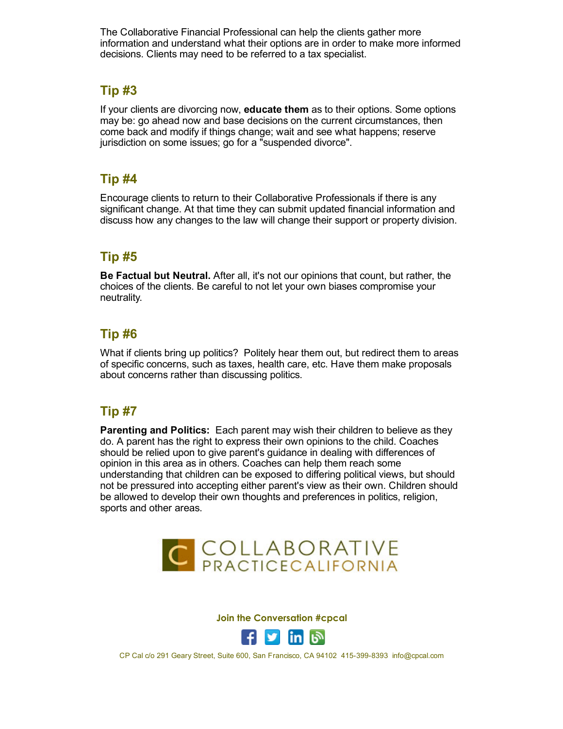The Collaborative Financial Professional can help the clients gather more information and understand what their options are in order to make more informed decisions. Clients may need to be referred to a tax specialist.

#### Tip #3

If your clients are divorcing now, educate them as to their options. Some options may be: go ahead now and base decisions on the current circumstances, then come back and modify if things change; wait and see what happens; reserve jurisdiction on some issues; go for a "suspended divorce".

#### Tip #4

Encourage clients to return to their Collaborative Professionals if there is any significant change. At that time they can submit updated financial information and discuss how any changes to the law will change their support or property division.

## Tip #5

Be Factual but Neutral. After all, it's not our opinions that count, but rather, the choices of the clients. Be careful to not let your own biases compromise your neutrality.

## Tip #6

What if clients bring up politics? Politely hear them out, but redirect them to areas of specific concerns, such as taxes, health care, etc. Have them make proposals about concerns rather than discussing politics.

# Tip #7

Parenting and Politics: Each parent may wish their children to believe as they do. A parent has the right to express their own opinions to the child. Coaches should be relied upon to give parent's guidance in dealing with differences of opinion in this area as in others. Coaches can help them reach some understanding that children can be exposed to differing political views, but should not be pressured into accepting either parent's view as their own. Children should be allowed to develop their own thoughts and preferences in politics, religion, sports and other areas.



Join the Conversation #cpcal



CP Cal c/o 291 Geary Street, Suite 600, San Francisco, CA 94102 415-399-8393 info@cpcal.com